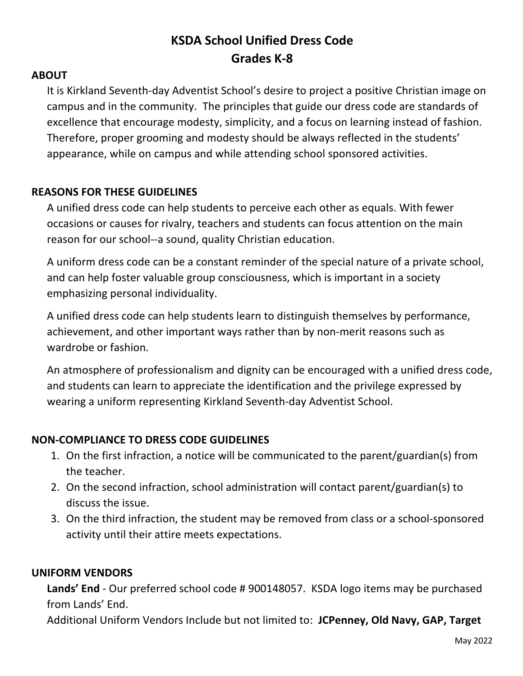# **KSDA School Unified Dress Code Grades K-8**

#### **ABOUT**

It is Kirkland Seventh-day Adventist School's desire to project a positive Christian image on campus and in the community. The principles that guide our dress code are standards of excellence that encourage modesty, simplicity, and a focus on learning instead of fashion. Therefore, proper grooming and modesty should be always reflected in the students' appearance, while on campus and while attending school sponsored activities.

## **REASONS FOR THESE GUIDELINES**

A unified dress code can help students to perceive each other as equals. With fewer occasions or causes for rivalry, teachers and students can focus attention on the main reason for our school--a sound, quality Christian education.

A uniform dress code can be a constant reminder of the special nature of a private school, and can help foster valuable group consciousness, which is important in a society emphasizing personal individuality.

A unified dress code can help students learn to distinguish themselves by performance, achievement, and other important ways rather than by non-merit reasons such as wardrobe or fashion.

An atmosphere of professionalism and dignity can be encouraged with a unified dress code, and students can learn to appreciate the identification and the privilege expressed by wearing a uniform representing Kirkland Seventh-day Adventist School.

## **NON-COMPLIANCE TO DRESS CODE GUIDELINES**

- 1. On the first infraction, a notice will be communicated to the parent/guardian(s) from the teacher.
- 2. On the second infraction, school administration will contact parent/guardian(s) to discuss the issue.
- 3. On the third infraction, the student may be removed from class or a school-sponsored activity until their attire meets expectations.

## **UNIFORM VENDORS**

**Lands' End** - Our preferred school code # 900148057. KSDA logo items may be purchased from Lands' End.

Additional Uniform Vendors Include but not limited to: **JCPenney, Old Navy, GAP, Target**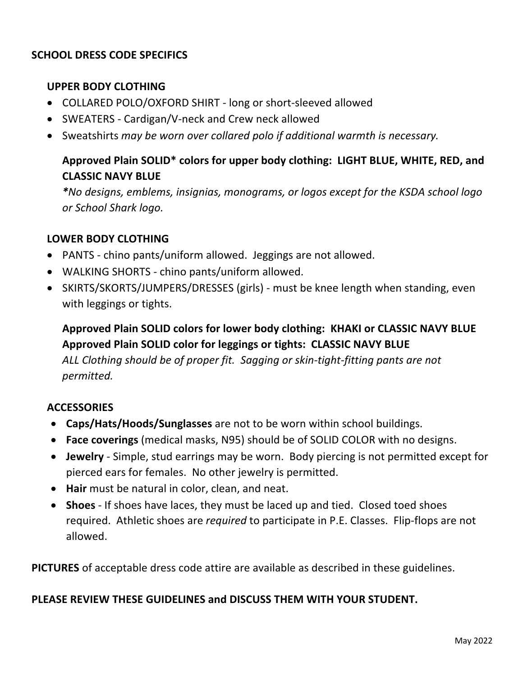## **SCHOOL DRESS CODE SPECIFICS**

## **UPPER BODY CLOTHING**

- COLLARED POLO/OXFORD SHIRT long or short-sleeved allowed
- SWEATERS Cardigan/V-neck and Crew neck allowed
- Sweatshirts *may be worn over collared polo if additional warmth is necessary.*

# **Approved Plain SOLID\* colors for upper body clothing: LIGHT BLUE, WHITE, RED, and CLASSIC NAVY BLUE**

*\*No designs, emblems, insignias, monograms, or logos except for the KSDA school logo or School Shark logo.*

#### **LOWER BODY CLOTHING**

- PANTS chino pants/uniform allowed. Jeggings are not allowed.
- WALKING SHORTS chino pants/uniform allowed.
- SKIRTS/SKORTS/JUMPERS/DRESSES (girls) must be knee length when standing, even with leggings or tights.

# **Approved Plain SOLID colors for lower body clothing: KHAKI or CLASSIC NAVY BLUE Approved Plain SOLID color for leggings or tights: CLASSIC NAVY BLUE**

*ALL Clothing should be of proper fit. Sagging or skin-tight-fitting pants are not permitted.*

## **ACCESSORIES**

- **Caps/Hats/Hoods/Sunglasses** are not to be worn within school buildings.
- **Face coverings** (medical masks, N95) should be of SOLID COLOR with no designs.
- **Jewelry** Simple, stud earrings may be worn. Body piercing is not permitted except for pierced ears for females. No other jewelry is permitted.
- **Hair** must be natural in color, clean, and neat.
- **Shoes** If shoes have laces, they must be laced up and tied. Closed toed shoes required. Athletic shoes are *required* to participate in P.E. Classes. Flip-flops are not allowed.

**PICTURES** of acceptable dress code attire are available as described in these guidelines.

#### **PLEASE REVIEW THESE GUIDELINES and DISCUSS THEM WITH YOUR STUDENT.**